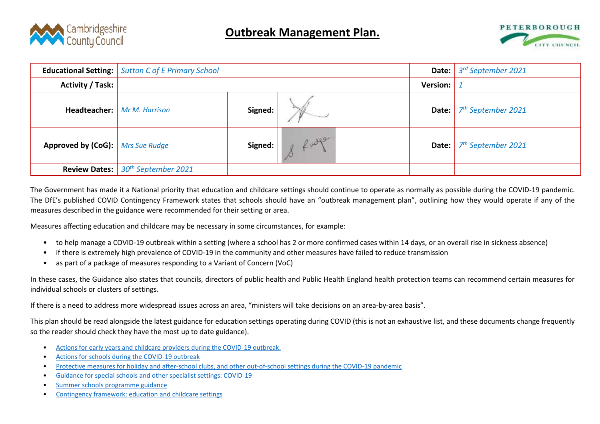



|                                           | <b>Educational Setting:</b> Sutton C of E Primary School |         | Date: $ $       | 3 <sup>rd</sup> September 2021 |                                      |
|-------------------------------------------|----------------------------------------------------------|---------|-----------------|--------------------------------|--------------------------------------|
| Activity / Task:                          |                                                          |         | <b>Version:</b> |                                |                                      |
|                                           | <b>Headteacher:</b> Mr M. Harrison                       | Signed: |                 | Date:                          | 7 <sup>th</sup> September 2021       |
| <b>Approved by (CoG):</b>   Mrs Sue Rudge |                                                          | Signed: | Rudge           |                                | <b>Date:</b> $7^{th}$ September 2021 |
|                                           | <b>Review Dates:</b> 30 <sup>th</sup> September 2021     |         |                 |                                |                                      |

The Government has made it a National priority that education and childcare settings should continue to operate as normally as possible during the COVID-19 pandemic. The DfE's published COVID Contingency Framework states that schools should have an "outbreak management plan", outlining how they would operate if any of the measures described in the guidance were recommended for their setting or area.

Measures affecting education and childcare may be necessary in some circumstances, for example:

- to help manage a COVID-19 outbreak within a setting (where a school has 2 or more confirmed cases within 14 days, or an overall rise in sickness absence)
- if there is extremely high prevalence of COVID-19 in the community and other measures have failed to reduce transmission
- as part of a package of measures responding to a Variant of Concern (VoC)

In these cases, the Guidance also states that councils, directors of public health and Public Health England health protection teams can recommend certain measures for individual schools or clusters of settings.

If there is a need to address more widespread issues across an area, "ministers will take decisions on an area-by-area basis".

This plan should be read alongside the latest guidance for education settings operating during COVID (this is not an exhaustive list, and these documents change frequently so the reader should check they have the most up to date guidance).

- [Actions for early years and childcare providers during the COVID-19 outbreak.](https://www.gov.uk/government/publications/coronavirus-covid-19-early-years-and-childcare-closures)
- [Actions for schools during the COVID-19 outbreak](https://www.gov.uk/government/publications/actions-for-schools-during-the-coronavirus-outbreak)
- [Protective measures for holiday and after-school clubs, and other out-of-school settings during the COVID-19 pandemic](https://www.gov.uk/government/publications/protective-measures-for-holiday-or-after-school-clubs-and-other-out-of-school-settings-for-children-during-the-coronavirus-covid-19-outbreak)
- [Guidance for special schools and other specialist settings: COVID-19](https://www.gov.uk/government/publications/guidance-for-full-opening-special-schools-and-other-specialist-settings)
- [Summer schools programme guidance](https://www.gov.uk/government/publications/summer-schools-programme)
- [Contingency framework: education and childcare settings](https://www.gov.uk/government/publications/coronavirus-covid-19-local-restrictions-in-%20education-and-childcare-settings/contingency-framework-education-and-childcare-settings)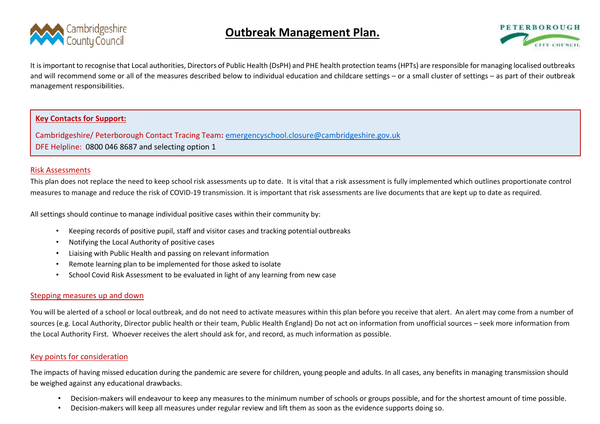

# **Outbreak Management Plan.**



It is important to recognise that Local authorities, Directors of Public Health (DsPH) and PHE health protection teams (HPTs) are responsible for managing localised outbreaks and will recommend some or all of the measures described below to individual education and childcare settings – or a small cluster of settings – as part of their outbreak management responsibilities.

## **Key Contacts for Support:**

Cambridgeshire/ Peterborough Contact Tracing Team**:** [emergencyschool.closure@cambridgeshire.gov.uk](mailto:mailtomailtoemergencyschool.closure@cambridgeshire.gov.uk)  DFE Helpline: 0800 046 8687 and selecting option 1

#### Risk Assessments

This plan does not replace the need to keep school risk assessments up to date.It is vital that a risk assessment is fully implemented which outlines proportionate control measures to manage and reduce the risk of COVID-19 transmission. It is important that risk assessments are live documents that are kept up to date as required.

All settings should continue to manage individual positive cases within their community by:

- Keeping records of positive pupil, staff and visitor cases and tracking potential outbreaks
- Notifying the Local Authority of positive cases
- Liaising with Public Health and passing on relevant information
- Remote learning plan to be implemented for those asked to isolate
- School Covid Risk Assessment to be evaluated in light of any learning from new case

### Stepping measures up and down

You will be alerted of a school or local outbreak, and do not need to activate measures within this plan before you receive that alert. An alert may come from a number of sources (e.g. Local Authority, Director public health or their team, Public Health England) Do not act on information from unofficial sources – seek more information from the Local Authority First. Whoever receives the alert should ask for, and record, as much information as possible.

### Key points for consideration

The impacts of having missed education during the pandemic are severe for children, young people and adults. In all cases, any benefits in managing transmission should be weighed against any educational drawbacks.

- Decision-makers will endeavour to keep any measures to the minimum number of schools or groups possible, and for the shortest amount of time possible.
- Decision-makers will keep all measures under regular review and lift them as soon as the evidence supports doing so.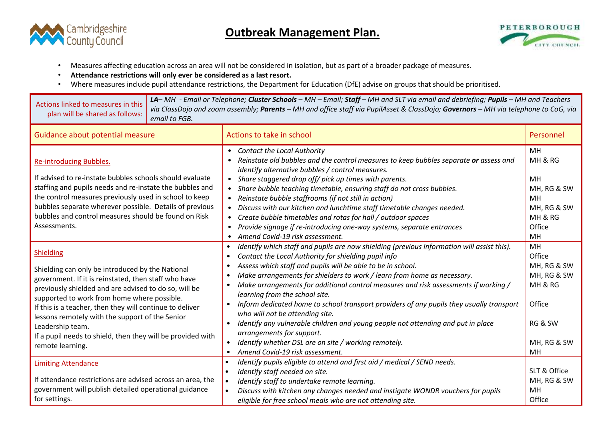



- Measures affecting education across an area will not be considered in isolation, but as part of a broader package of measures.
- **Attendance restrictions will only ever be considered as a last resort.**
- Where measures include pupil attendance restrictions, the Department for Education (DfE) advise on groups that should be prioritised.

| Actions linked to measures in this<br>plan will be shared as follows:                                                                                                                                                                                                                                                                                                                                                                                      | email to FGB. | LA-MH - Email or Telephone; Cluster Schools - MH - Email; Staff - MH and SLT via email and debriefing; Pupils - MH and Teachers<br>via ClassDojo and zoom assembly; Parents - MH and office staff via PupilAsset & ClassDojo; Governors - MH via telephone to CoG, via                                                                                                                                                                                                                                                                                                                                                                                                                                                                                                                     |                                                                                                 |  |  |  |  |
|------------------------------------------------------------------------------------------------------------------------------------------------------------------------------------------------------------------------------------------------------------------------------------------------------------------------------------------------------------------------------------------------------------------------------------------------------------|---------------|--------------------------------------------------------------------------------------------------------------------------------------------------------------------------------------------------------------------------------------------------------------------------------------------------------------------------------------------------------------------------------------------------------------------------------------------------------------------------------------------------------------------------------------------------------------------------------------------------------------------------------------------------------------------------------------------------------------------------------------------------------------------------------------------|-------------------------------------------------------------------------------------------------|--|--|--|--|
| Guidance about potential measure<br>Actions to take in school                                                                                                                                                                                                                                                                                                                                                                                              |               |                                                                                                                                                                                                                                                                                                                                                                                                                                                                                                                                                                                                                                                                                                                                                                                            | Personnel                                                                                       |  |  |  |  |
| Re-introducing Bubbles.<br>If advised to re-instate bubbles schools should evaluate<br>staffing and pupils needs and re-instate the bubbles and<br>the control measures previously used in school to keep<br>bubbles separate wherever possible. Details of previous<br>bubbles and control measures should be found on Risk<br>Assessments.                                                                                                               |               | • Contact the Local Authority<br>Reinstate old bubbles and the control measures to keep bubbles separate or assess and<br>identify alternative bubbles / control measures.<br>• Share staggered drop off/ pick up times with parents.<br>Share bubble teaching timetable, ensuring staff do not cross bubbles.<br>$\bullet$<br>Reinstate bubble staffrooms (if not still in action)<br>Discuss with our kitchen and lunchtime staff timetable changes needed.<br>Create bubble timetables and rotas for hall / outdoor spaces<br>$\bullet$<br>Provide signage if re-introducing one-way systems, separate entrances<br>$\bullet$<br>Amend Covid-19 risk assessment.<br>$\bullet$                                                                                                           | MH<br>MH & RG<br>MH<br>MH, RG & SW<br><b>MH</b><br>MH, RG & SW<br>MH & RG<br>Office<br>MH       |  |  |  |  |
| <b>Shielding</b><br>Shielding can only be introduced by the National<br>government. If it is reinstated, then staff who have<br>previously shielded and are advised to do so, will be<br>supported to work from home where possible.<br>If this is a teacher, then they will continue to deliver<br>lessons remotely with the support of the Senior<br>Leadership team.<br>If a pupil needs to shield, then they will be provided with<br>remote learning. |               | Identify which staff and pupils are now shielding (previous information will assist this).<br>$\bullet$<br>Contact the Local Authority for shielding pupil info<br>Assess which staff and pupils will be able to be in school.<br>Make arrangements for shielders to work / learn from home as necessary.<br>Make arrangements for additional control measures and risk assessments if working /<br>learning from the school site.<br>Inform dedicated home to school transport providers of any pupils they usually transport<br>$\bullet$<br>who will not be attending site.<br>Identify any vulnerable children and young people not attending and put in place<br>arrangements for support.<br>Identify whether DSL are on site / working remotely.<br>Amend Covid-19 risk assessment. | MH<br>Office<br>MH, RG & SW<br>MH, RG & SW<br>MH & RG<br>Office<br>RG & SW<br>MH, RG & SW<br>MH |  |  |  |  |
| <b>Limiting Attendance</b><br>If attendance restrictions are advised across an area, the<br>government will publish detailed operational guidance<br>for settings.                                                                                                                                                                                                                                                                                         |               | Identify pupils eligible to attend and first aid / medical / SEND needs.<br>$\bullet$<br>Identify staff needed on site.<br>$\bullet$<br>Identify staff to undertake remote learning.<br>$\bullet$<br>Discuss with kitchen any changes needed and instigate WONDR vouchers for pupils<br>eligible for free school meals who are not attending site.                                                                                                                                                                                                                                                                                                                                                                                                                                         | SLT & Office<br>MH, RG & SW<br>MH<br>Office                                                     |  |  |  |  |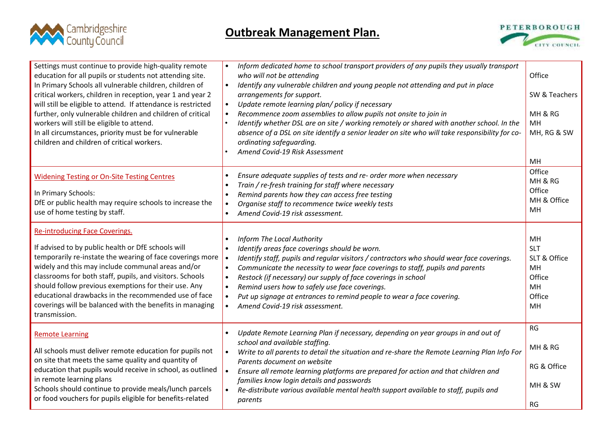



| Settings must continue to provide high-quality remote<br>education for all pupils or students not attending site.<br>In Primary Schools all vulnerable children, children of<br>critical workers, children in reception, year 1 and year 2<br>will still be eligible to attend. If attendance is restricted<br>further, only vulnerable children and children of critical<br>workers will still be eligible to attend.<br>In all circumstances, priority must be for vulnerable<br>children and children of critical workers. | Inform dedicated home to school transport providers of any pupils they usually transport<br>$\bullet$<br>who will not be attending<br>Identify any vulnerable children and young people not attending and put in place<br>$\bullet$<br>arrangements for support.<br>Update remote learning plan/ policy if necessary<br>$\bullet$<br>Recommence zoom assemblies to allow pupils not onsite to join in<br>$\bullet$<br>Identify whether DSL are on site / working remotely or shared with another school. In the<br>$\bullet$<br>absence of a DSL on site identify a senior leader on site who will take responsibility for co-<br>ordinating safeguarding.<br>Amend Covid-19 Risk Assessment | Office<br>SW & Teachers<br>MH & RG<br><b>MH</b><br>MH, RG & SW<br>MH   |
|-------------------------------------------------------------------------------------------------------------------------------------------------------------------------------------------------------------------------------------------------------------------------------------------------------------------------------------------------------------------------------------------------------------------------------------------------------------------------------------------------------------------------------|----------------------------------------------------------------------------------------------------------------------------------------------------------------------------------------------------------------------------------------------------------------------------------------------------------------------------------------------------------------------------------------------------------------------------------------------------------------------------------------------------------------------------------------------------------------------------------------------------------------------------------------------------------------------------------------------|------------------------------------------------------------------------|
| <b>Widening Testing or On-Site Testing Centres</b><br>In Primary Schools:<br>DfE or public health may require schools to increase the<br>use of home testing by staff.                                                                                                                                                                                                                                                                                                                                                        | Ensure adequate supplies of tests and re- order more when necessary<br>$\bullet$<br>Train / re-fresh training for staff where necessary<br>$\bullet$<br>Remind parents how they can access free testing<br>$\bullet$<br>Organise staff to recommence twice weekly tests<br>$\bullet$<br>Amend Covid-19 risk assessment.<br>$\bullet$                                                                                                                                                                                                                                                                                                                                                         | Office<br>MH & RG<br>Office<br>MH & Office<br>MH.                      |
| <b>Re-introducing Face Coverings.</b><br>If advised to by public health or DfE schools will<br>temporarily re-instate the wearing of face coverings more<br>widely and this may include communal areas and/or<br>classrooms for both staff, pupils, and visitors. Schools<br>should follow previous exemptions for their use. Any<br>educational drawbacks in the recommended use of face<br>coverings will be balanced with the benefits in managing<br>transmission.                                                        | Inform The Local Authority<br>$\bullet$<br>Identify areas face coverings should be worn.<br>$\bullet$<br>Identify staff, pupils and regular visitors / contractors who should wear face coverings.<br>$\bullet$<br>Communicate the necessity to wear face coverings to staff, pupils and parents<br>$\bullet$<br>Restock (if necessary) our supply of face coverings in school<br>$\bullet$<br>Remind users how to safely use face coverings.<br>$\bullet$<br>Put up signage at entrances to remind people to wear a face covering.<br>$\bullet$<br>Amend Covid-19 risk assessment.<br>$\bullet$                                                                                             | MH<br><b>SLT</b><br>SLT & Office<br>MH<br>Office<br>MH<br>Office<br>MH |
| <b>Remote Learning</b><br>All schools must deliver remote education for pupils not<br>on site that meets the same quality and quantity of<br>education that pupils would receive in school, as outlined<br>in remote learning plans<br>Schools should continue to provide meals/lunch parcels<br>or food vouchers for pupils eligible for benefits-related                                                                                                                                                                    | Update Remote Learning Plan if necessary, depending on year groups in and out of<br>$\bullet$<br>school and available staffing.<br>Write to all parents to detail the situation and re-share the Remote Learning Plan Info For<br>$\bullet$<br>Parents document on website<br>Ensure all remote learning platforms are prepared for action and that children and<br>$\bullet$<br>families know login details and passwords<br>Re-distribute various available mental health support available to staff, pupils and<br>$\bullet$<br>parents                                                                                                                                                   | RG<br>MH & RG<br>RG & Office<br>MH & SW<br>RG                          |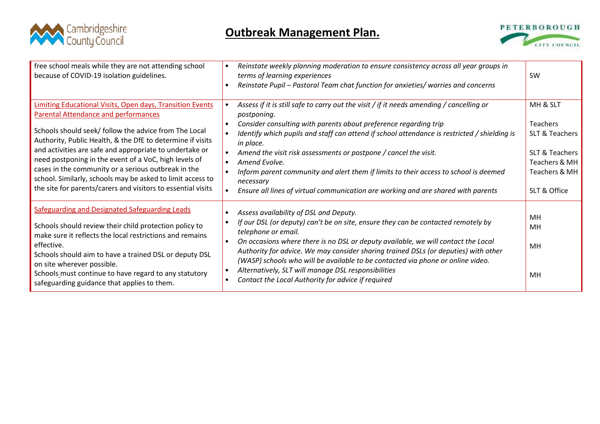



| free school meals while they are not attending school<br>because of COVID-19 isolation guidelines.                                                                                                                                                                                                                                                                                                                                                                                                                                              | Reinstate weekly planning moderation to ensure consistency across all year groups in<br>$\bullet$<br>terms of learning experiences<br>Reinstate Pupil - Pastoral Team chat function for anxieties/ worries and concerns<br>$\bullet$                                                                                                                                                                                                                                                                                                                                                              | <b>SW</b>                                                                                                                    |
|-------------------------------------------------------------------------------------------------------------------------------------------------------------------------------------------------------------------------------------------------------------------------------------------------------------------------------------------------------------------------------------------------------------------------------------------------------------------------------------------------------------------------------------------------|---------------------------------------------------------------------------------------------------------------------------------------------------------------------------------------------------------------------------------------------------------------------------------------------------------------------------------------------------------------------------------------------------------------------------------------------------------------------------------------------------------------------------------------------------------------------------------------------------|------------------------------------------------------------------------------------------------------------------------------|
| <b>Limiting Educational Visits, Open days, Transition Events</b><br><b>Parental Attendance and performances</b><br>Schools should seek/ follow the advice from The Local<br>Authority, Public Health, & the DfE to determine if visits<br>and activities are safe and appropriate to undertake or<br>need postponing in the event of a VoC, high levels of<br>cases in the community or a serious outbreak in the<br>school. Similarly, schools may be asked to limit access to<br>the site for parents/carers and visitors to essential visits | Assess if it is still safe to carry out the visit / if it needs amending / cancelling or<br>postponing.<br>Consider consulting with parents about preference regarding trip<br>$\bullet$<br>Identify which pupils and staff can attend if school attendance is restricted / shielding is<br>in place.<br>Amend the visit risk assessments or postpone / cancel the visit.<br>$\bullet$<br>Amend Evolve.<br>Inform parent community and alert them if limits to their access to school is deemed<br>necessary<br>Ensure all lines of virtual communication are working and are shared with parents | MH & SLT<br><b>Teachers</b><br>SLT & Teachers<br><b>SLT &amp; Teachers</b><br>Teachers & MH<br>Teachers & MH<br>SLT & Office |
| Safeguarding and Designated Safeguarding Leads<br>Schools should review their child protection policy to<br>make sure it reflects the local restrictions and remains<br>effective.<br>Schools should aim to have a trained DSL or deputy DSL<br>on site wherever possible.<br>Schools must continue to have regard to any statutory<br>safeguarding guidance that applies to them.                                                                                                                                                              | Assess availability of DSL and Deputy.<br>If our DSL (or deputy) can't be on site, ensure they can be contacted remotely by<br>telephone or email.<br>On occasions where there is no DSL or deputy available, we will contact the Local<br>$\bullet$<br>Authority for advice. We may consider sharing trained DSLs (or deputies) with other<br>(WASP) schools who will be available to be contacted via phone or online video.<br>Alternatively, SLT will manage DSL responsibilities<br>$\bullet$<br>Contact the Local Authority for advice if required<br>$\bullet$                             | MH<br>MН<br>MH<br>MH                                                                                                         |